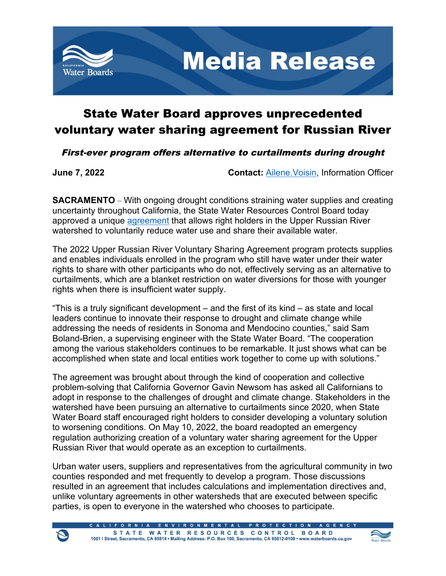

## State Water Board approves unprecedented voluntary water sharing agreement for Russian River

First-ever program offers alternative to curtailments during drought

**June 7, 2022 Contact:** [Ailene.Voisin,](mailto:ailene.voisin) Information Officer

**SACRAMENTO** – With ongoing drought conditions straining water supplies and creating uncertainty throughout California, the State Water Resources Control Board today approved a unique [agreement](https://www.waterboards.ca.gov/drought/russian_river/voluntary_program.html) that allows right holders in the Upper Russian River watershed to voluntarily reduce water use and share their available water.

The 2022 Upper Russian River Voluntary Sharing Agreement program protects supplies and enables individuals enrolled in the program who still have water under their water rights to share with other participants who do not, effectively serving as an alternative to curtailments, which are a blanket restriction on water diversions for those with younger rights when there is insufficient water supply.

"This is a truly significant development – and the first of its kind – as state and local leaders continue to innovate their response to drought and climate change while addressing the needs of residents in Sonoma and Mendocino counties," said Sam Boland-Brien, a supervising engineer with the State Water Board. "The cooperation among the various stakeholders continues to be remarkable. It just shows what can be accomplished when state and local entities work together to come up with solutions."

The agreement was brought about through the kind of cooperation and collective problem-solving that California Governor Gavin Newsom has asked all Californians to adopt in response to the challenges of drought and climate change. Stakeholders in the watershed have been pursuing an alternative to curtailments since 2020, when State Water Board staff encouraged right holders to consider developing a voluntary solution to worsening conditions. On May 10, 2022, the board readopted an emergency regulation authorizing creation of a voluntary water sharing agreement for the Upper Russian River that would operate as an exception to curtailments.

Urban water users, suppliers and representatives from the agricultural community in two counties responded and met frequently to develop a program. Those discussions resulted in an agreement that includes calculations and implementation directives and, unlike voluntary agreements in other watersheds that are executed between specific parties, is open to everyone in the watershed who chooses to participate.